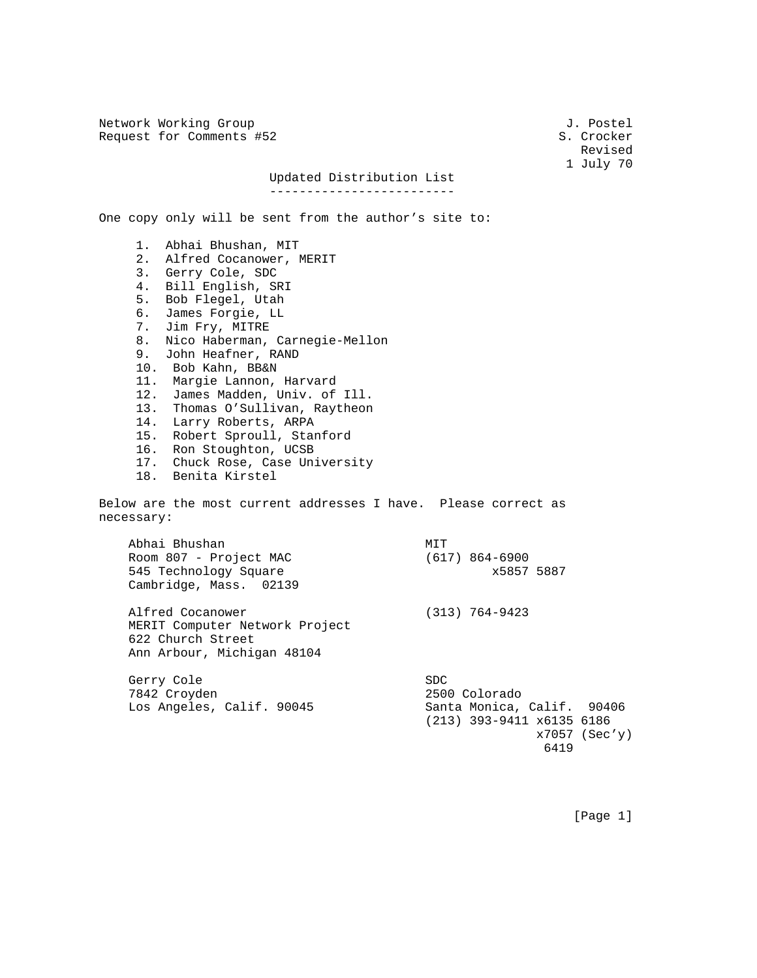Network Working Group 3. 2008 3. Postel Request for Comments #52 S. Crocker

Revised and the contract of the contract of the contract of the contract of the contract of the contract of the contract of the contract of the contract of the contract of the contract of the contract of the contract of th 1 July 70

## Updated Distribution List

-------------------------

One copy only will be sent from the author's site to:

 1. Abhai Bhushan, MIT 2. Alfred Cocanower, MERIT 3. Gerry Cole, SDC 4. Bill English, SRI 5. Bob Flegel, Utah 6. James Forgie, LL 7. Jim Fry, MITRE 8. Nico Haberman, Carnegie-Mellon 9. John Heafner, RAND 10. Bob Kahn, BB&N 11. Margie Lannon, Harvard 12. James Madden, Univ. of Ill. 13. Thomas O'Sullivan, Raytheon 14. Larry Roberts, ARPA 15. Robert Sproull, Stanford 16. Ron Stoughton, UCSB 17. Chuck Rose, Case University 18. Benita Kirstel Below are the most current addresses I have. Please correct as necessary: Abhai Bhushan<br>Room 807 - Project MAC (617) 864-6900 Room 807 - Project MAC 545 Technology Square x5857 5887 Cambridge, Mass. 02139 Alfred Cocanower (313) 764-9423 MERIT Computer Network Project 622 Church Street Ann Arbour, Michigan 48104 Gerry Cole SDC 7842 Croyden 2500 Colorado

 Los Angeles, Calif. 90045 Santa Monica, Calif. 90406 (213) 393-9411 x6135 6186 x7057 (Sec'y) 6419

[Page 1]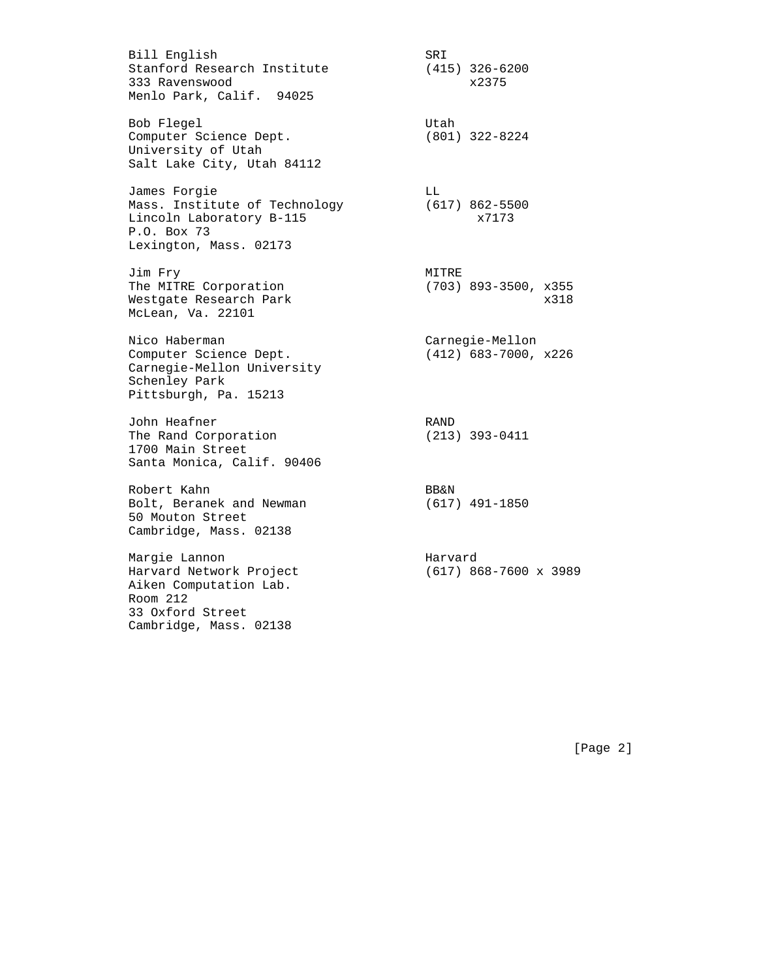Bill English SRI Stanford Research Institute 333 Ravenswood x2375 Menlo Park, Calif. 94025 Bob Flegel and the Utah Computer Science Dept. (801) 322-8224 University of Utah Salt Lake City, Utah 84112 James Forgie LL Mass. Institute of Technology (617) 862-5500 Lincoln Laboratory B-115 x7173 P.O. Box 73 Lexington, Mass. 02173 Jim Fry MITRE The MITRE Corporation (703) 893-3500, x355 Westgate Research Park 318 McLean, Va. 22101 Nico Haberman Carnegie-Mellon Computer Science Dept. (412) 683-7000, x226 Carnegie-Mellon University Schenley Park Pittsburgh, Pa. 15213 John Heafner<br>The Rand Corporation (213) 393-0411 The Rand Corporation 1700 Main Street Santa Monica, Calif. 90406 Robert Kahn BB&N Bolt, Beranek and Newman (617) 491-1850 50 Mouton Street Cambridge, Mass. 02138 Margie Lannon en andere Harvard Harvard Network Project (617) 868-7600 x 3989 Aiken Computation Lab. Room 212 33 Oxford Street

Cambridge, Mass. 02138

[Page 2]